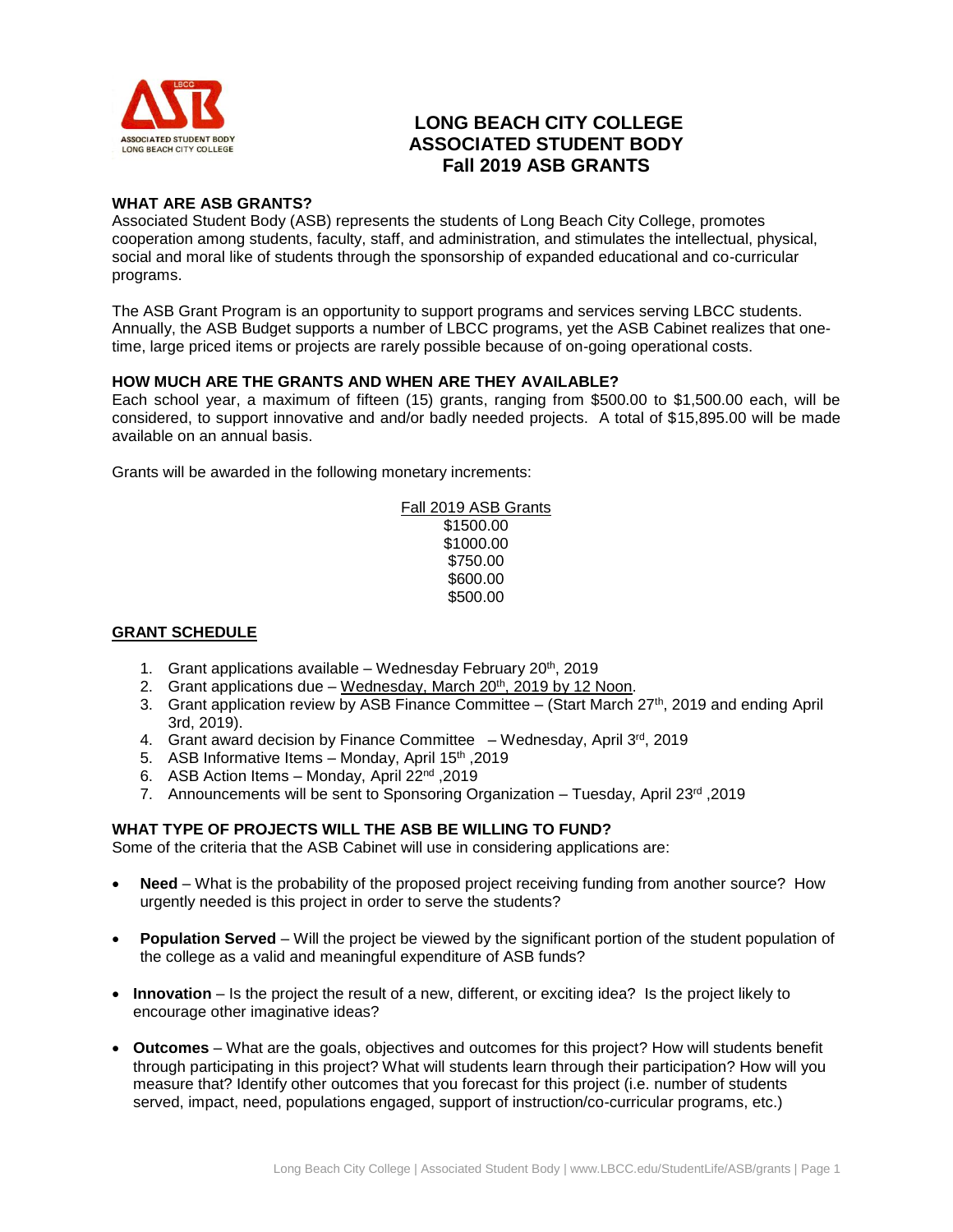

# **LONG BEACH CITY COLLEGE ASSOCIATED STUDENT BODY Fall 2019 ASB GRANTS**

#### **WHAT ARE ASB GRANTS?**

Associated Student Body (ASB) represents the students of Long Beach City College, promotes cooperation among students, faculty, staff, and administration, and stimulates the intellectual, physical, social and moral like of students through the sponsorship of expanded educational and co-curricular programs.

The ASB Grant Program is an opportunity to support programs and services serving LBCC students. Annually, the ASB Budget supports a number of LBCC programs, yet the ASB Cabinet realizes that onetime, large priced items or projects are rarely possible because of on-going operational costs.

### **HOW MUCH ARE THE GRANTS AND WHEN ARE THEY AVAILABLE?**

Each school year, a maximum of fifteen (15) grants, ranging from \$500.00 to \$1,500.00 each, will be considered, to support innovative and and/or badly needed projects. A total of \$15,895.00 will be made available on an annual basis.

Grants will be awarded in the following monetary increments:

Fall 2019 ASB Grants \$1500.00 \$1000.00 \$750.00 \$600.00 \$500.00

## **GRANT SCHEDULE**

- 1. Grant applications available Wednesday February 20<sup>th</sup>, 2019
- 2. Grant applications due Wednesday, March 20<sup>th</sup>, 2019 by 12 Noon.
- 3. Grant application review by ASB Finance Committee (Start March 27th, 2019 and ending April 3rd, 2019).
- 4. Grant award decision by Finance Committee Wednesday, April 3rd, 2019
- 5. ASB Informative Items Monday, April 15<sup>th</sup>, 2019
- 6. ASB Action Items Monday, April 22nd ,2019
- 7. Announcements will be sent to Sponsoring Organization Tuesday, April 23<sup>rd</sup>, 2019

#### **WHAT TYPE OF PROJECTS WILL THE ASB BE WILLING TO FUND?**

Some of the criteria that the ASB Cabinet will use in considering applications are:

- **Need** What is the probability of the proposed project receiving funding from another source? How urgently needed is this project in order to serve the students?
- **Population Served** Will the project be viewed by the significant portion of the student population of the college as a valid and meaningful expenditure of ASB funds?
- **Innovation** Is the project the result of a new, different, or exciting idea? Is the project likely to encourage other imaginative ideas?
- **Outcomes** What are the goals, objectives and outcomes for this project? How will students benefit through participating in this project? What will students learn through their participation? How will you measure that? Identify other outcomes that you forecast for this project (i.e. number of students served, impact, need, populations engaged, support of instruction/co-curricular programs, etc.)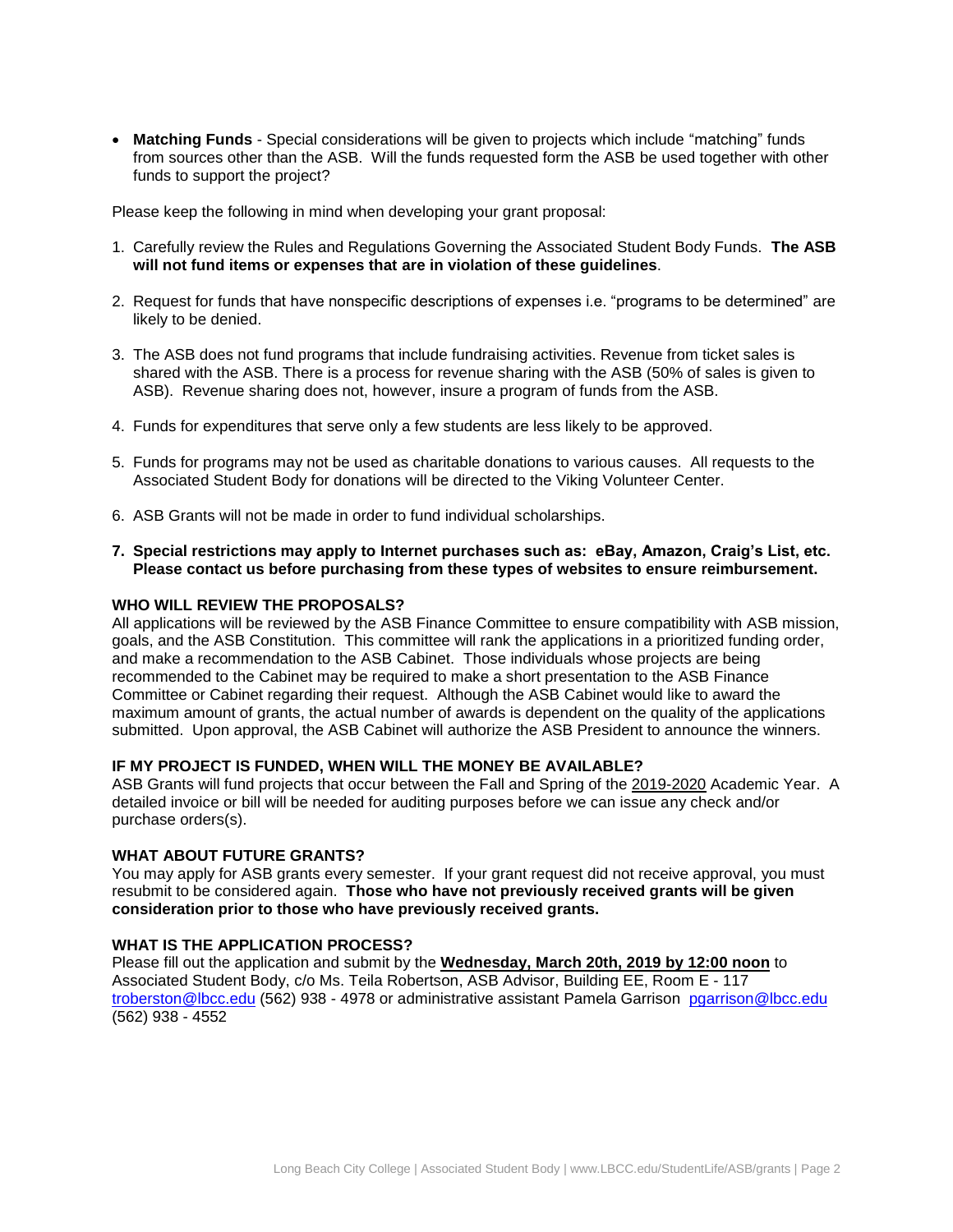**Matching Funds** - Special considerations will be given to projects which include "matching" funds from sources other than the ASB. Will the funds requested form the ASB be used together with other funds to support the project?

Please keep the following in mind when developing your grant proposal:

- 1. Carefully review the Rules and Regulations Governing the Associated Student Body Funds. **The ASB will not fund items or expenses that are in violation of these guidelines**.
- 2. Request for funds that have nonspecific descriptions of expenses i.e. "programs to be determined" are likely to be denied.
- 3. The ASB does not fund programs that include fundraising activities. Revenue from ticket sales is shared with the ASB. There is a process for revenue sharing with the ASB (50% of sales is given to ASB). Revenue sharing does not, however, insure a program of funds from the ASB.
- 4. Funds for expenditures that serve only a few students are less likely to be approved.
- 5. Funds for programs may not be used as charitable donations to various causes. All requests to the Associated Student Body for donations will be directed to the Viking Volunteer Center.
- 6. ASB Grants will not be made in order to fund individual scholarships.
- **7. Special restrictions may apply to Internet purchases such as: eBay, Amazon, Craig's List, etc. Please contact us before purchasing from these types of websites to ensure reimbursement.**

#### **WHO WILL REVIEW THE PROPOSALS?**

All applications will be reviewed by the ASB Finance Committee to ensure compatibility with ASB mission, goals, and the ASB Constitution. This committee will rank the applications in a prioritized funding order, and make a recommendation to the ASB Cabinet. Those individuals whose projects are being recommended to the Cabinet may be required to make a short presentation to the ASB Finance Committee or Cabinet regarding their request. Although the ASB Cabinet would like to award the maximum amount of grants, the actual number of awards is dependent on the quality of the applications submitted. Upon approval, the ASB Cabinet will authorize the ASB President to announce the winners.

#### **IF MY PROJECT IS FUNDED, WHEN WILL THE MONEY BE AVAILABLE?**

ASB Grants will fund projects that occur between the Fall and Spring of the 2019-2020 Academic Year. A detailed invoice or bill will be needed for auditing purposes before we can issue any check and/or purchase orders(s).

#### **WHAT ABOUT FUTURE GRANTS?**

You may apply for ASB grants every semester. If your grant request did not receive approval, you must resubmit to be considered again. **Those who have not previously received grants will be given consideration prior to those who have previously received grants.**

#### **WHAT IS THE APPLICATION PROCESS?**

Please fill out the application and submit by the **Wednesday, March 20th, 2019 by 12:00 noon** to Associated Student Body, c/o Ms. Teila Robertson, ASB Advisor, Building EE, Room E - 117 [troberston@lbcc.edu](mailto:troberston@lbcc.edu) (562) 938 - 4978 or administrative assistant Pamela Garrison [pgarrison@lbcc.edu](mailto:pgarrison@lbcc.edu) (562) 938 - 4552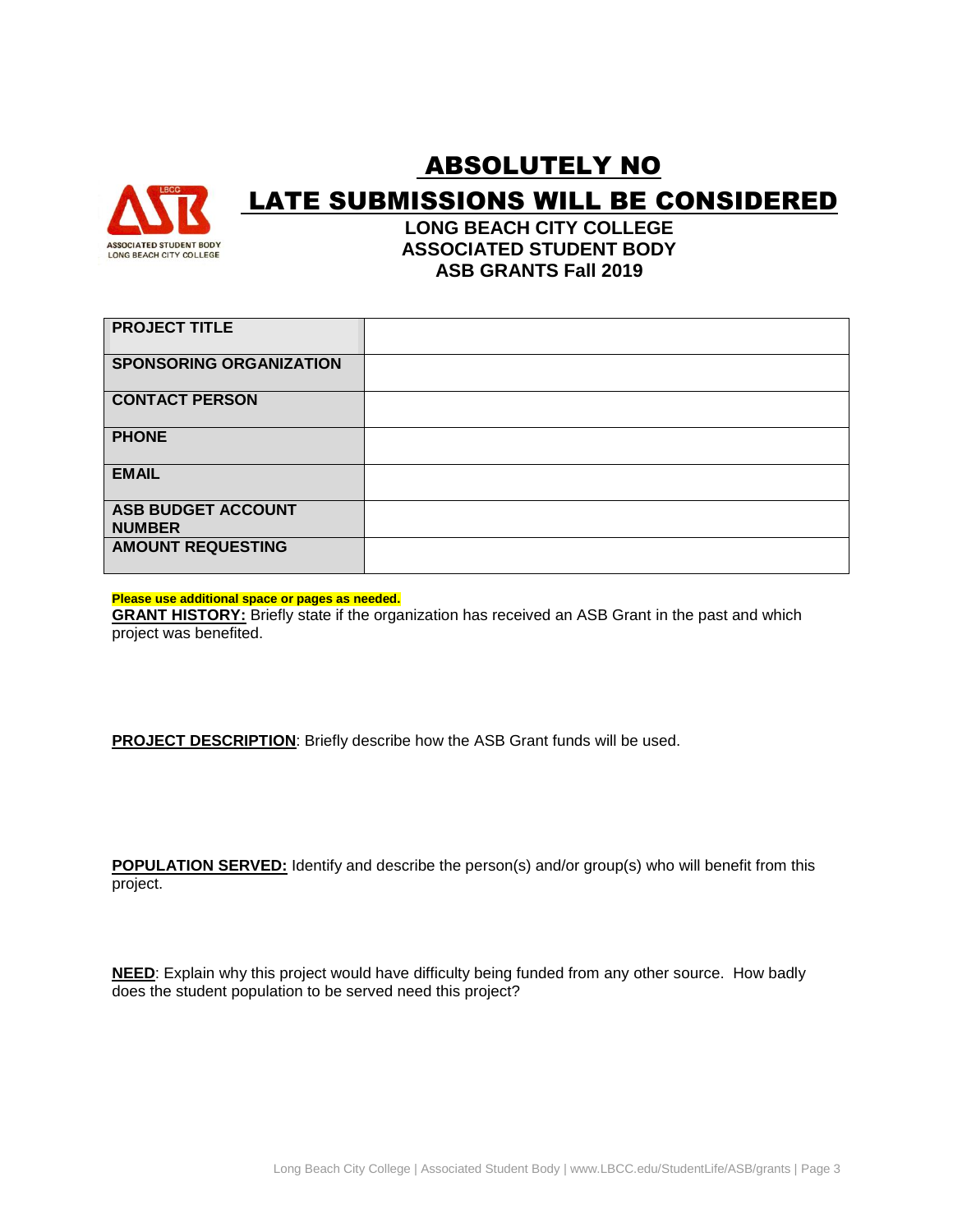

# ABSOLUTELY NO LATE SUBMISSIONS WILL BE CONSIDERED

**LONG BEACH CITY COLLEGE ASSOCIATED STUDENT BODY ASB GRANTS Fall 2019**

| <b>PROJECT TITLE</b>                       |  |
|--------------------------------------------|--|
| <b>SPONSORING ORGANIZATION</b>             |  |
| <b>CONTACT PERSON</b>                      |  |
| <b>PHONE</b>                               |  |
| <b>EMAIL</b>                               |  |
| <b>ASB BUDGET ACCOUNT</b><br><b>NUMBER</b> |  |
| <b>AMOUNT REQUESTING</b>                   |  |

**Please use additional space or pages as needed.**

**GRANT HISTORY:** Briefly state if the organization has received an ASB Grant in the past and which project was benefited.

**PROJECT DESCRIPTION**: Briefly describe how the ASB Grant funds will be used.

**POPULATION SERVED:** Identify and describe the person(s) and/or group(s) who will benefit from this project.

**NEED**: Explain why this project would have difficulty being funded from any other source. How badly does the student population to be served need this project?